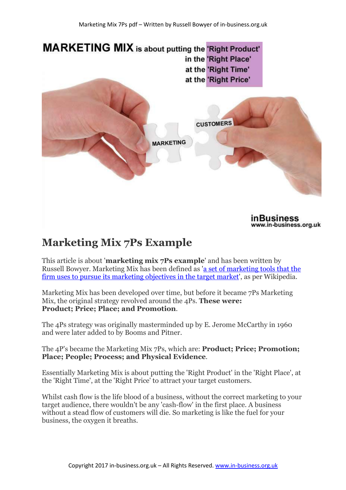

inBusiness www.in-business.org.uk

# **Marketing Mix 7Ps Example**

This article is about '**marketing mix 7Ps example**' and has been written by Russell Bowyer. Marketing Mix has been defined as 'a set of marketing tools that the firm uses to pursue its marketing objectives in the target market', as per Wikipedia.

Marketing Mix has been developed over time, but before it became 7Ps Marketing Mix, the original strategy revolved around the 4Ps. **These were: Product; Price; Place; and Promotion**.

The 4Ps strategy was originally masterminded up by E. Jerome McCarthy in 1960 and were later added to by Booms and Pitner.

The 4P's became the Marketing Mix 7Ps, which are: **Product; Price; Promotion; Place; People; Process; and Physical Evidence**.

Essentially Marketing Mix is about putting the 'Right Product' in the 'Right Place', at the 'Right Time', at the 'Right Price' to attract your target customers.

Whilst cash flow is the life blood of a business, without the correct marketing to your target audience, there wouldn't be any 'cash-flow' in the first place. A business without a stead flow of customers will die. So marketing is like the fuel for your business, the oxygen it breaths.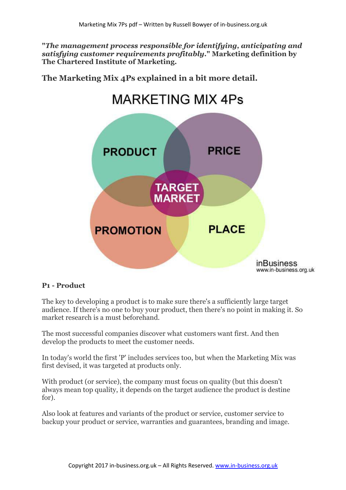**"***The management process responsible for identifying, anticipating and satisfying customer requirements profitably***." Marketing definition by The Chartered Institute of Marketing.**

**The Marketing Mix 4Ps explained in a bit more detail.** 

# **MARKETING MIX 4Ps**



#### **P1 - Product**

The key to developing a product is to make sure there's a sufficiently large target audience. If there's no one to buy your product, then there's no point in making it. So market research is a must beforehand.

The most successful companies discover what customers want first. And then develop the products to meet the customer needs.

In today's world the first 'P' includes services too, but when the Marketing Mix was first devised, it was targeted at products only.

With product (or service), the company must focus on quality (but this doesn't always mean top quality, it depends on the target audience the product is destine for).

Also look at features and variants of the product or service, customer service to backup your product or service, warranties and guarantees, branding and image.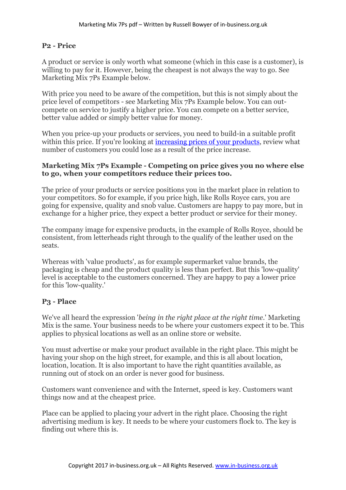#### **P2 - Price**

A product or service is only worth what someone (which in this case is a customer), is willing to pay for it. However, being the cheapest is not always the way to go. See Marketing Mix 7Ps Example below.

With price you need to be aware of the competition, but this is not simply about the price level of competitors - see Marketing Mix 7Ps Example below. You can outcompete on service to justify a higher price. You can compete on a better service, better value added or simply better value for money.

When you price-up your products or services, you need to build-in a suitable profit within this price. If you're looking at increasing prices of your products, review what number of customers you could lose as a result of the price increase.

#### **Marketing Mix 7Ps Example - Competing on price gives you no where else to go, when your competitors reduce their prices too.**

The price of your products or service positions you in the market place in relation to your competitors. So for example, if you price high, like Rolls Royce cars, you are going for expensive, quality and snob value. Customers are happy to pay more, but in exchange for a higher price, they expect a better product or service for their money.

The company image for expensive products, in the example of Rolls Royce, should be consistent, from letterheads right through to the qualify of the leather used on the seats.

Whereas with 'value products', as for example supermarket value brands, the packaging is cheap and the product quality is less than perfect. But this 'low-quality' level is acceptable to the customers concerned. They are happy to pay a lower price for this 'low-quality.'

#### **P3 - Place**

We've all heard the expression '*being in the right place at the right time*.' Marketing Mix is the same. Your business needs to be where your customers expect it to be. This applies to physical locations as well as an online store or website.

You must advertise or make your product available in the right place. This might be having your shop on the high street, for example, and this is all about location, location, location. It is also important to have the right quantities available, as running out of stock on an order is never good for business.

Customers want convenience and with the Internet, speed is key. Customers want things now and at the cheapest price.

Place can be applied to placing your advert in the right place. Choosing the right advertising medium is key. It needs to be where your customers flock to. The key is finding out where this is.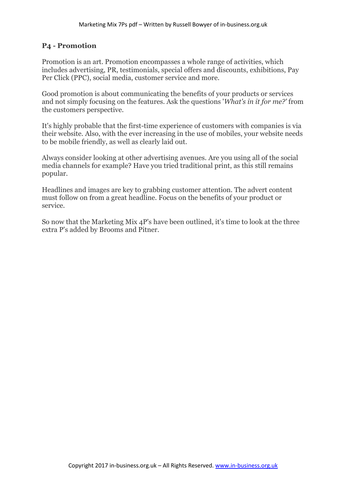#### **P4 - Promotion**

Promotion is an art. Promotion encompasses a whole range of activities, which includes advertising, PR, testimonials, special offers and discounts, exhibitions, Pay Per Click (PPC), social media, customer service and more.

Good promotion is about communicating the benefits of your products or services and not simply focusing on the features. Ask the questions '*What's in it for me?'* from the customers perspective.

It's highly probable that the first-time experience of customers with companies is via their website. Also, with the ever increasing in the use of mobiles, your website needs to be mobile friendly, as well as clearly laid out.

Always consider looking at other advertising avenues. Are you using all of the social media channels for example? Have you tried traditional print, as this still remains popular.

Headlines and images are key to grabbing customer attention. The advert content must follow on from a great headline. Focus on the benefits of your product or service.

So now that the Marketing Mix 4P's have been outlined, it's time to look at the three extra P's added by Brooms and Pitner.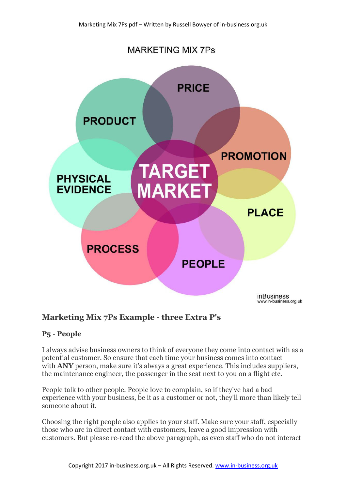

### **Marketing Mix 7Ps Example - three Extra P's**

#### **P5 - People**

I always advise business owners to think of everyone they come into contact with as a potential customer. So ensure that each time your business comes into contact with **ANY** person, make sure it's always a great experience. This includes suppliers, the maintenance engineer, the passenger in the seat next to you on a flight etc.

People talk to other people. People love to complain, so if they've had a bad experience with your business, be it as a customer or not, they'll more than likely tell someone about it.

Choosing the right people also applies to your staff. Make sure your staff, especially those who are in direct contact with customers, leave a good impression with customers. But please re-read the above paragraph, as even staff who do not interact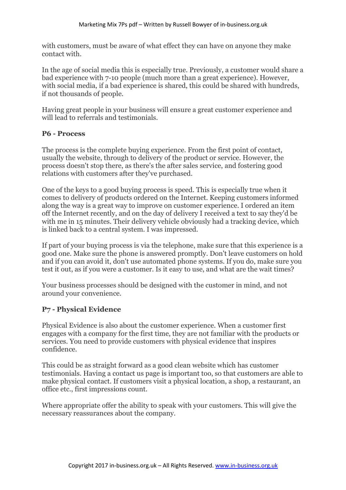with customers, must be aware of what effect they can have on anyone they make contact with.

In the age of social media this is especially true. Previously, a customer would share a bad experience with 7-10 people (much more than a great experience). However, with social media, if a bad experience is shared, this could be shared with hundreds, if not thousands of people.

Having great people in your business will ensure a great customer experience and will lead to referrals and testimonials.

#### **P6 - Process**

The process is the complete buying experience. From the first point of contact, usually the website, through to delivery of the product or service. However, the process doesn't stop there, as there's the after sales service, and fostering good relations with customers after they've purchased.

One of the keys to a good buying process is speed. This is especially true when it comes to delivery of products ordered on the Internet. Keeping customers informed along the way is a great way to improve on customer experience. I ordered an item off the Internet recently, and on the day of delivery I received a text to say they'd be with me in 15 minutes. Their delivery vehicle obviously had a tracking device, which is linked back to a central system. I was impressed.

If part of your buying process is via the telephone, make sure that this experience is a good one. Make sure the phone is answered promptly. Don't leave customers on hold and if you can avoid it, don't use automated phone systems. If you do, make sure you test it out, as if you were a customer. Is it easy to use, and what are the wait times?

Your business processes should be designed with the customer in mind, and not around your convenience.

#### **P7 - Physical Evidence**

Physical Evidence is also about the customer experience. When a customer first engages with a company for the first time, they are not familiar with the products or services. You need to provide customers with physical evidence that inspires confidence.

This could be as straight forward as a good clean website which has customer testimonials. Having a contact us page is important too, so that customers are able to make physical contact. If customers visit a physical location, a shop, a restaurant, an office etc., first impressions count.

Where appropriate offer the ability to speak with your customers. This will give the necessary reassurances about the company.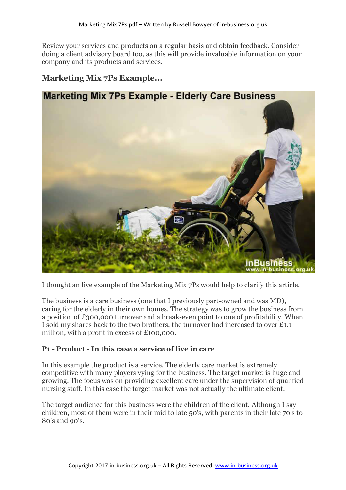Review your services and products on a regular basis and obtain feedback. Consider doing a client advisory board too, as this will provide invaluable information on your company and its products and services.

## **Marketing Mix 7Ps Example...**



I thought an live example of the Marketing Mix 7Ps would help to clarify this article.

The business is a care business (one that I previously part-owned and was MD), caring for the elderly in their own homes. The strategy was to grow the business from a position of £300,000 turnover and a break-even point to one of profitability. When I sold my shares back to the two brothers, the turnover had increased to over £1.1 million, with a profit in excess of £100,000.

#### **P1 - Product - In this case a service of live in care**

In this example the product is a service. The elderly care market is extremely competitive with many players vying for the business. The target market is huge and growing. The focus was on providing excellent care under the supervision of qualified nursing staff. In this case the target market was not actually the ultimate client.

The target audience for this business were the children of the client. Although I say children, most of them were in their mid to late 50's, with parents in their late 70's to 80's and 90's.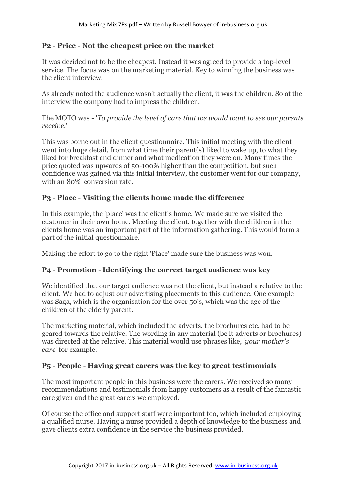#### **P2 - Price - Not the cheapest price on the market**

It was decided not to be the cheapest. Instead it was agreed to provide a top-level service. The focus was on the marketing material. Key to winning the business was the client interview.

As already noted the audience wasn't actually the client, it was the children. So at the interview the company had to impress the children.

The MOTO was - '*To provide the level of care that we would want to see our parents receive*.'

This was borne out in the client questionnaire. This initial meeting with the client went into huge detail, from what time their parent(s) liked to wake up, to what they liked for breakfast and dinner and what medication they were on. Many times the price quoted was upwards of 50-100% higher than the competition, but such confidence was gained via this initial interview, the customer went for our company, with an 80% conversion rate.

#### **P3 - Place - Visiting the clients home made the difference**

In this example, the 'place' was the client's home. We made sure we visited the customer in their own home. Meeting the client, together with the children in the clients home was an important part of the information gathering. This would form a part of the initial questionnaire.

Making the effort to go to the right 'Place' made sure the business was won.

#### **P4 - Promotion - Identifying the correct target audience was key**

We identified that our target audience was not the client, but instead a relative to the client. We had to adjust our advertising placements to this audience. One example was Saga, which is the organisation for the over 50's, which was the age of the children of the elderly parent.

The marketing material, which included the adverts, the brochures etc. had to be geared towards the relative. The wording in any material (be it adverts or brochures) was directed at the relative. This material would use phrases like, '*your mother's care*' for example.

#### **P5 - People - Having great carers was the key to great testimonials**

The most important people in this business were the carers. We received so many recommendations and testimonials from happy customers as a result of the fantastic care given and the great carers we employed.

Of course the office and support staff were important too, which included employing a qualified nurse. Having a nurse provided a depth of knowledge to the business and gave clients extra confidence in the service the business provided.